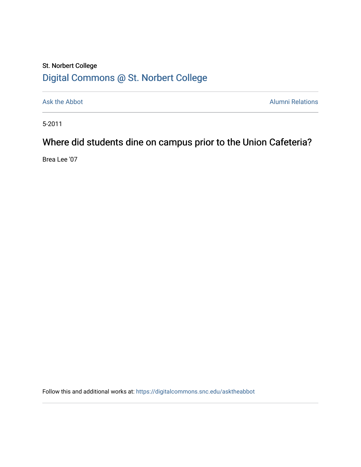## St. Norbert College [Digital Commons @ St. Norbert College](https://digitalcommons.snc.edu/)

[Ask the Abbot](https://digitalcommons.snc.edu/asktheabbot) **Alumni Relations** Alumni Relations

5-2011

# Where did students dine on campus prior to the Union Cafeteria?

Brea Lee '07

Follow this and additional works at: [https://digitalcommons.snc.edu/asktheabbot](https://digitalcommons.snc.edu/asktheabbot?utm_source=digitalcommons.snc.edu%2Fasktheabbot%2F68&utm_medium=PDF&utm_campaign=PDFCoverPages)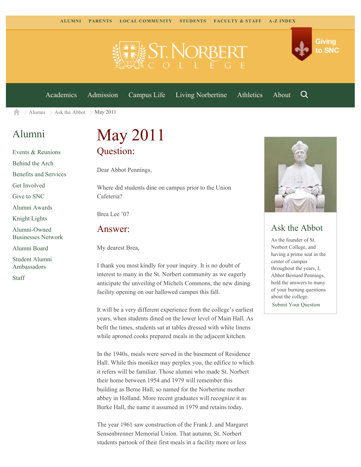

[Academics](https://www.snc.edu/academics) [Admission](https://www.snc.edu/admission) [Campus Life](https://www.snc.edu/campuslife) [Living Norbertine](https://www.snc.edu/livingnorbertine) [Athletics](https://www.snc.edu/athletics) [About](https://www.snc.edu/about)

Q

Giving

to SNC

 $\geq$  [Alumni](https://www.snc.edu/alumni/)  $\geq$  [Ask the Abbot](https://www.snc.edu/alumni/abbot/)  $\geq$  May 2011 合

## [Alumni](https://www.snc.edu/alumni/index.html)

[Events & Reunions](https://www.snc.edu/alumni/event/index.html) [Behind the Arch](https://www.snc.edu/alumni/event/behindthearch/) [Benefits and Services](https://www.snc.edu/alumni/benefits.html) [Get Involved](https://www.snc.edu/alumni/getinvolved.html) [Give to SNC](http://giving.snc.edu/) [Alumni Awards](https://www.snc.edu/alumni/awards/index.html) [Knight Lights](https://www.snc.edu/alumni/knightlights/index.html) [Alumni-Owned](https://www.snc.edu/alumni/directory/index.html) [Businesses Network](https://www.snc.edu/alumni/directory/index.html) [Alumni Board](https://www.snc.edu/alumni/alumniboard.html) [Student Alumni](https://www.snc.edu/alumni/saa.html) [Ambassadors](https://www.snc.edu/alumni/saa.html)

[Staff](https://www.snc.edu/alumni/contactus.html)

# May 2011 Question:

Dear Abbot Pennings,

Where did students dine on campus prior to the Union Cafeteria?

Brea Lee '07

#### Answer:

My dearest Brea,

I thank you most kindly for your inquiry. It is no doubt of interest to many in the St. Norbert community as we eagerly anticipate the unveiling of Michels Commons, the new dining facility opening on our hallowed campus this fall.

It will be a very different experience from the college's earliest years, when students dined on the lower level of Main Hall. As befit the times, students sat at tables dressed with white linens while aproned cooks prepared meals in the adjacent kitchen.

In the 1940s, meals were served in the basement of Residence Hall. While this moniker may perplex you, the edifice to which it refers will be familiar. Those alumni who made St. Norbert their home between 1954 and 1979 will remember this building as Berne Hall, so named for the Norbertine mother abbey in Holland. More recent graduates will recognize it as Burke Hall, the name it assumed in 1979 and retains today.

The year 1961 saw construction of the Frank J. and Margaret Sensenbrenner Memorial Union. That autumn, St. Norbert students partook of their first meals in a facility more or less



### Ask the Abbot

As the founder of St. Norbert College, and having a prime seat in the center of campus throughout the years, I, Abbot Bernard Pennings, hold the answers to many of your burning questions about the college.

[Submit Your Question](https://www.snc.edu/alumni/abbot/index.html)